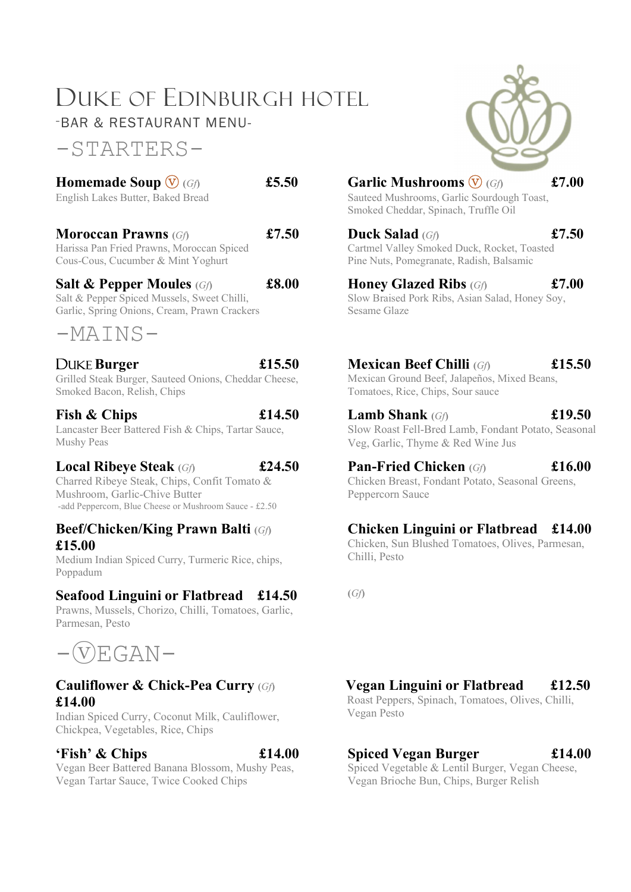## DUKE OF EDINBURGH HOTEL -BAR & RESTAURANT MENU-

-STARTERS-

| <b>Homemade Soup <math>\mathbf{\nabla}</math></b> (Gf) | £5.50    | Garl            |
|--------------------------------------------------------|----------|-----------------|
| English Lakes Butter, Baked Bread                      |          | Sautee<br>Smoke |
| $\mathbf{M}$ $\mathbf{D}$ $\mathbf{D}$                 | $P = FQ$ |                 |

Moroccan Prawns  $(G)$  **£7.50** Harissa Pan Fried Prawns, Moroccan Spiced Cous-Cous, Cucumber & Mint Yoghurt

#### Salt & Pepper Moules  $(G)$  £8.00

Salt & Pepper Spiced Mussels, Sweet Chilli, Garlic, Spring Onions, Cream, Prawn Crackers

## $-MATNS-$

Grilled Steak Burger, Sauteed Onions, Cheddar Cheese, Smoked Bacon, Relish, Chips

Lancaster Beer Battered Fish & Chips, Tartar Sauce, Mushy Peas

#### Local Ribeye Steak  $(G)$  £24.50

Charred Ribeye Steak, Chips, Confit Tomato & Mushroom, Garlic-Chive Butter -add Peppercorn, Blue Cheese or Mushroom Sauce - £2.50

#### Beef/Chicken/King Prawn Balti (Gf) £15.00

Medium Indian Spiced Curry, Turmeric Rice, chips, Poppadum

#### Seafood Linguini or Flatbread £14.50

Prawns, Mussels, Chorizo, Chilli, Tomatoes, Garlic, Parmesan, Pesto



#### Cauliflower & Chick-Pea Curry (Gf) £14.00

Indian Spiced Curry, Coconut Milk, Cauliflower, Chickpea, Vegetables, Rice, Chips

#### $\text{Fish'} \& \text{Chips}$   $\text{£}14.00$

Vegan Beer Battered Banana Blossom, Mushy Peas, Vegan Tartar Sauce, Twice Cooked Chips



# Homemade Soup  $\overline{\mathbf{\mathbb{V}}}$  (Gf)  $\qquad \qquad$  £5.50  $\qquad \qquad$  Garlic Mushrooms  $\overline{\mathbf{\mathbb{V}}}$  (Gf)  $\qquad \qquad$  £7.00

Sauteed Mushrooms, Garlic Sourdough Toast, Smoked Cheddar, Spinach, Truffle Oil

Duck Salad (Gf) 67.50 Cartmel Valley Smoked Duck, Rocket, Toasted Pine Nuts, Pomegranate, Radish, Balsamic

Honey Glazed Ribs  $(G)$  £7.00 Slow Braised Pork Ribs, Asian Salad, Honey Soy, Sesame Glaze

DUKE Burger  $\text{£}15.50$  Mexican Beef Chilli (Gf)  $\text{£}15.50$ 

Mexican Ground Beef, Jalapeños, Mixed Beans, Tomatoes, Rice, Chips, Sour sauce

Fish & Chips  $\pounds 14.50$  Lamb Shank  $(Gf)$   $\pounds 19.50$ Slow Roast Fell-Bred Lamb, Fondant Potato, Seasonal Veg, Garlic, Thyme & Red Wine Jus

> **Pan-Fried Chicken** (Gf)  $\qquad \qquad$  £16.00 Chicken Breast, Fondant Potato, Seasonal Greens, Peppercorn Sauce

### Chicken Linguini or Flatbread £14.00

Chicken, Sun Blushed Tomatoes, Olives, Parmesan, Chilli, Pesto

(Gf)

## Vegan Linguini or Flatbread £12.50

 Roast Peppers, Spinach, Tomatoes, Olives, Chilli, Vegan Pesto

### Spiced Vegan Burger £14.00

Spiced Vegetable & Lentil Burger, Vegan Cheese, Vegan Brioche Bun, Chips, Burger Relish